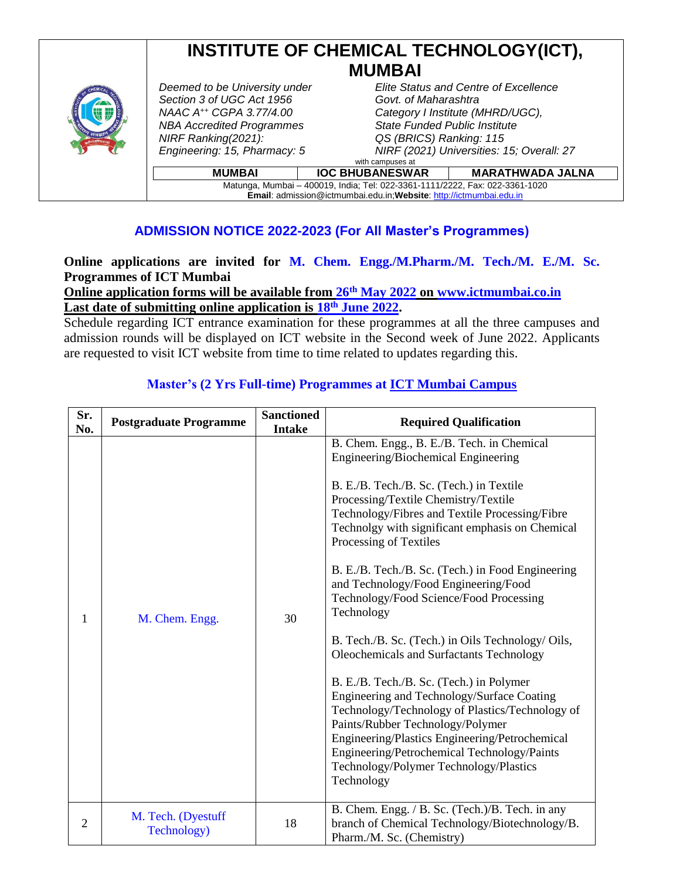# **INSTITUTE OF CHEMICAL TECHNOLOGY(ICT), MUMBAI**



*Deemed to be University under Section 3 of UGC Act 1956 NBA Accredited Programmes State Funded Public Institute NIRF Ranking(2021): Engineering: 15, Pharmacy: 5*

#### *Elite Status and Centre of Excellence Govt. of Maharashtra NAAC A++ CGPA 3.77/4.00 Category I Institute (MHRD/UGC), QS (BRICS) Ranking: 115 NIRF (2021) Universities: 15; Overall: 27* with campuses at

| <b>MUMBAI</b>                                                                | <b>IOC BHUBANESWAR</b> | MARATHWADA JALNA |  |  |
|------------------------------------------------------------------------------|------------------------|------------------|--|--|
| Matunga, Mumbai - 400019, India; Tel: 022-3361-1111/2222, Fax: 022-3361-1020 |                        |                  |  |  |
| <b>Email:</b> admission@ictmumbai.edu.in; Website: http://ictmumbai.edu.in   |                        |                  |  |  |

### **ADMISSION NOTICE 2022-2023 (For All Master's Programmes)**

### **Online applications are invited for M. Chem. Engg./M.Pharm./M. Tech./M. E./M. Sc. Programmes of ICT Mumbai**

**Online application forms will be available from 26th May 2022 on www.ictmumbai.co.in Last date of submitting online application is 18th June 2022.**

Schedule regarding ICT entrance examination for these programmes at all the three campuses and admission rounds will be displayed on ICT website in the Second week of June 2022. Applicants are requested to visit ICT website from time to time related to updates regarding this.

| Sr.<br>No.     | <b>Postgraduate Programme</b>     | <b>Sanctioned</b><br><b>Intake</b> | <b>Required Qualification</b>                                                                                                                                                                                                                                                                                                                                                                                                                                                                                                                                                                                                                                                                                                                                                                                                                                                                         |
|----------------|-----------------------------------|------------------------------------|-------------------------------------------------------------------------------------------------------------------------------------------------------------------------------------------------------------------------------------------------------------------------------------------------------------------------------------------------------------------------------------------------------------------------------------------------------------------------------------------------------------------------------------------------------------------------------------------------------------------------------------------------------------------------------------------------------------------------------------------------------------------------------------------------------------------------------------------------------------------------------------------------------|
| 1              | M. Chem. Engg.                    | 30                                 | B. Chem. Engg., B. E./B. Tech. in Chemical<br>Engineering/Biochemical Engineering<br>B. E./B. Tech./B. Sc. (Tech.) in Textile<br>Processing/Textile Chemistry/Textile<br>Technology/Fibres and Textile Processing/Fibre<br>Technolgy with significant emphasis on Chemical<br>Processing of Textiles<br>B. E./B. Tech./B. Sc. (Tech.) in Food Engineering<br>and Technology/Food Engineering/Food<br>Technology/Food Science/Food Processing<br>Technology<br>B. Tech./B. Sc. (Tech.) in Oils Technology/ Oils,<br>Oleochemicals and Surfactants Technology<br>B. E./B. Tech./B. Sc. (Tech.) in Polymer<br>Engineering and Technology/Surface Coating<br>Technology/Technology of Plastics/Technology of<br>Paints/Rubber Technology/Polymer<br>Engineering/Plastics Engineering/Petrochemical<br>Engineering/Petrochemical Technology/Paints<br>Technology/Polymer Technology/Plastics<br>Technology |
| $\overline{2}$ | M. Tech. (Dyestuff<br>Technology) | 18                                 | B. Chem. Engg. / B. Sc. (Tech.)/B. Tech. in any<br>branch of Chemical Technology/Biotechnology/B.<br>Pharm./M. Sc. (Chemistry)                                                                                                                                                                                                                                                                                                                                                                                                                                                                                                                                                                                                                                                                                                                                                                        |

#### **Master's (2 Yrs Full-time) Programmes at ICT Mumbai Campus**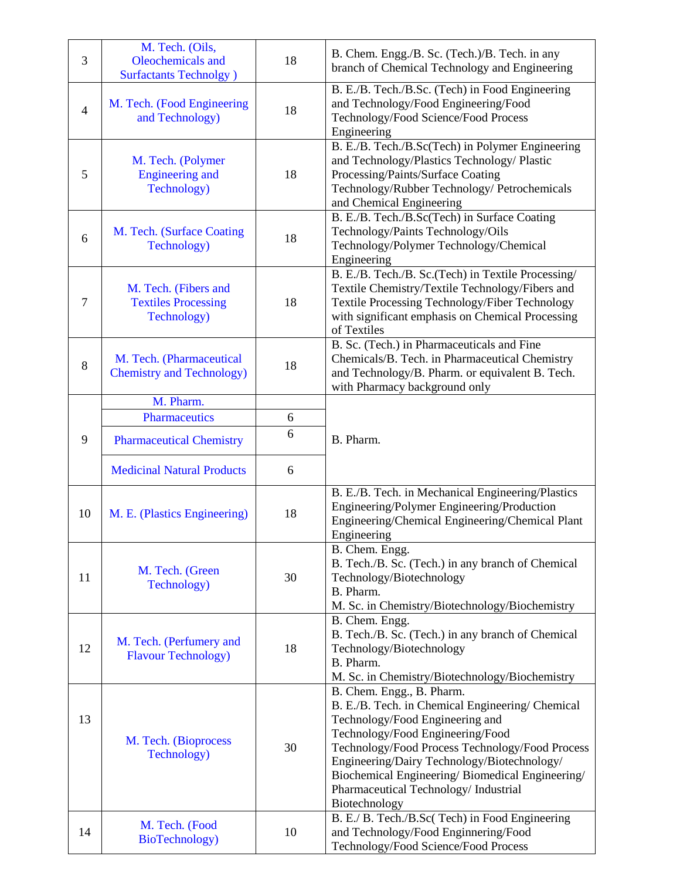| 3              | M. Tech. (Oils,<br>Oleochemicals and<br><b>Surfactants Technolgy</b> ) | 18 | B. Chem. Engg./B. Sc. (Tech.)/B. Tech. in any<br>branch of Chemical Technology and Engineering                                                                                                                                                                                                                                                                      |
|----------------|------------------------------------------------------------------------|----|---------------------------------------------------------------------------------------------------------------------------------------------------------------------------------------------------------------------------------------------------------------------------------------------------------------------------------------------------------------------|
| $\overline{4}$ | M. Tech. (Food Engineering<br>and Technology)                          | 18 | B. E./B. Tech./B.Sc. (Tech) in Food Engineering<br>and Technology/Food Engineering/Food<br>Technology/Food Science/Food Process<br>Engineering                                                                                                                                                                                                                      |
| 5              | M. Tech. (Polymer<br><b>Engineering and</b><br>Technology)             | 18 | B. E./B. Tech./B.Sc(Tech) in Polymer Engineering<br>and Technology/Plastics Technology/ Plastic<br>Processing/Paints/Surface Coating<br>Technology/Rubber Technology/ Petrochemicals<br>and Chemical Engineering                                                                                                                                                    |
| 6              | M. Tech. (Surface Coating<br>Technology)                               | 18 | B. E./B. Tech./B.Sc(Tech) in Surface Coating<br>Technology/Paints Technology/Oils<br>Technology/Polymer Technology/Chemical<br>Engineering                                                                                                                                                                                                                          |
| $\tau$         | M. Tech. (Fibers and<br><b>Textiles Processing</b><br>Technology)      | 18 | B. E./B. Tech./B. Sc.(Tech) in Textile Processing/<br>Textile Chemistry/Textile Technology/Fibers and<br>Textile Processing Technology/Fiber Technology<br>with significant emphasis on Chemical Processing<br>of Textiles                                                                                                                                          |
| $8\,$          | M. Tech. (Pharmaceutical<br><b>Chemistry and Technology)</b>           | 18 | B. Sc. (Tech.) in Pharmaceuticals and Fine<br>Chemicals/B. Tech. in Pharmaceutical Chemistry<br>and Technology/B. Pharm. or equivalent B. Tech.<br>with Pharmacy background only                                                                                                                                                                                    |
|                | M. Pharm.                                                              |    |                                                                                                                                                                                                                                                                                                                                                                     |
|                | <b>Pharmaceutics</b>                                                   | 6  |                                                                                                                                                                                                                                                                                                                                                                     |
| 9              | <b>Pharmaceutical Chemistry</b>                                        | 6  | B. Pharm.                                                                                                                                                                                                                                                                                                                                                           |
|                | <b>Medicinal Natural Products</b>                                      | 6  |                                                                                                                                                                                                                                                                                                                                                                     |
| 10             | M. E. (Plastics Engineering)                                           | 18 | B. E./B. Tech. in Mechanical Engineering/Plastics<br>Engineering/Polymer Engineering/Production<br>Engineering/Chemical Engineering/Chemical Plant<br>Engineering                                                                                                                                                                                                   |
| 11             | M. Tech. (Green<br>Technology)                                         | 30 | B. Chem. Engg.<br>B. Tech./B. Sc. (Tech.) in any branch of Chemical<br>Technology/Biotechnology<br>B. Pharm.<br>M. Sc. in Chemistry/Biotechnology/Biochemistry                                                                                                                                                                                                      |
| 12             | M. Tech. (Perfumery and<br><b>Flavour Technology</b> )                 | 18 | B. Chem. Engg.<br>B. Tech./B. Sc. (Tech.) in any branch of Chemical<br>Technology/Biotechnology<br>B. Pharm.<br>M. Sc. in Chemistry/Biotechnology/Biochemistry                                                                                                                                                                                                      |
| 13             | M. Tech. (Bioprocess<br>Technology)                                    | 30 | B. Chem. Engg., B. Pharm.<br>B. E./B. Tech. in Chemical Engineering/ Chemical<br>Technology/Food Engineering and<br>Technology/Food Engineering/Food<br>Technology/Food Process Technology/Food Process<br>Engineering/Dairy Technology/Biotechnology/<br>Biochemical Engineering/Biomedical Engineering/<br>Pharmaceutical Technology/ Industrial<br>Biotechnology |
| 14             | M. Tech. (Food<br>BioTechnology)                                       | 10 | B. E./ B. Tech./B.Sc(Tech) in Food Engineering<br>and Technology/Food Enginnering/Food<br>Technology/Food Science/Food Process                                                                                                                                                                                                                                      |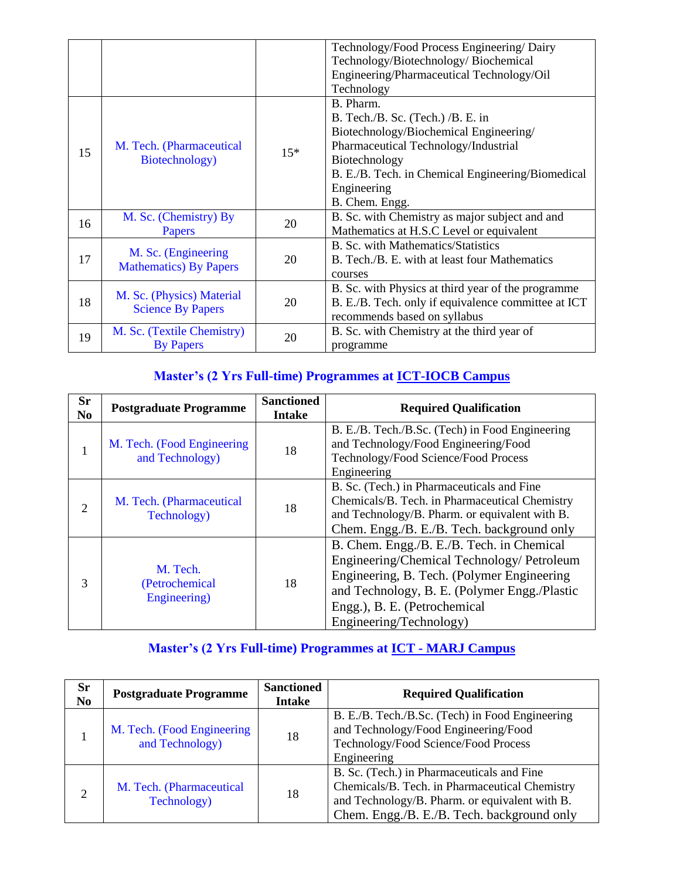|    |                                                       |       | Technology/Food Process Engineering/Dairy<br>Technology/Biotechnology/Biochemical<br>Engineering/Pharmaceutical Technology/Oil<br>Technology                                                                                            |
|----|-------------------------------------------------------|-------|-----------------------------------------------------------------------------------------------------------------------------------------------------------------------------------------------------------------------------------------|
| 15 | M. Tech. (Pharmaceutical<br>Biotechnology)            | $15*$ | B. Pharm.<br>B. Tech./B. Sc. (Tech.) /B. E. in<br>Biotechnology/Biochemical Engineering/<br>Pharmaceutical Technology/Industrial<br>Biotechnology<br>B. E./B. Tech. in Chemical Engineering/Biomedical<br>Engineering<br>B. Chem. Engg. |
| 16 | M. Sc. (Chemistry) By<br>Papers                       | 20    | B. Sc. with Chemistry as major subject and and<br>Mathematics at H.S.C Level or equivalent                                                                                                                                              |
| 17 | M. Sc. (Engineering<br><b>Mathematics</b> ) By Papers | 20    | B. Sc. with Mathematics/Statistics<br>B. Tech./B. E. with at least four Mathematics<br>courses                                                                                                                                          |
| 18 | M. Sc. (Physics) Material<br><b>Science By Papers</b> | 20    | B. Sc. with Physics at third year of the programme<br>B. E./B. Tech. only if equivalence committee at ICT<br>recommends based on syllabus                                                                                               |
| 19 | M. Sc. (Textile Chemistry)<br><b>By Papers</b>        | 20    | B. Sc. with Chemistry at the third year of<br>programme                                                                                                                                                                                 |

## **Master's (2 Yrs Full-time) Programmes at ICT-IOCB Campus**

| <b>Sr</b><br>N <sub>0</sub> | <b>Postgraduate Programme</b>                  | <b>Sanctioned</b><br><b>Intake</b> | <b>Required Qualification</b>                                                                                                                                                                                                                    |
|-----------------------------|------------------------------------------------|------------------------------------|--------------------------------------------------------------------------------------------------------------------------------------------------------------------------------------------------------------------------------------------------|
|                             | M. Tech. (Food Engineering)<br>and Technology) | 18                                 | B. E./B. Tech./B.Sc. (Tech) in Food Engineering<br>and Technology/Food Engineering/Food<br>Technology/Food Science/Food Process<br>Engineering                                                                                                   |
| $\mathfrak{D}$              | M. Tech. (Pharmaceutical<br>Technology)        | 18                                 | B. Sc. (Tech.) in Pharmaceuticals and Fine<br>Chemicals/B. Tech. in Pharmaceutical Chemistry<br>and Technology/B. Pharm. or equivalent with B.<br>Chem. Engg./B. E./B. Tech. background only                                                     |
| 3                           | M. Tech.<br>(Petrochemical<br>Engineering)     | 18                                 | B. Chem. Engg./B. E./B. Tech. in Chemical<br>Engineering/Chemical Technology/ Petroleum<br>Engineering, B. Tech. (Polymer Engineering<br>and Technology, B. E. (Polymer Engg./Plastic<br>Engg.), B. E. (Petrochemical<br>Engineering/Technology) |

### **Master's (2 Yrs Full-time) Programmes at ICT - MARJ Campus**

| <b>Sr</b><br>N <sub>0</sub> | <b>Postgraduate Programme</b>                 | <b>Sanctioned</b><br><b>Intake</b> | <b>Required Qualification</b>                                                                                                                                                                |
|-----------------------------|-----------------------------------------------|------------------------------------|----------------------------------------------------------------------------------------------------------------------------------------------------------------------------------------------|
|                             | M. Tech. (Food Engineering<br>and Technology) | 18                                 | B. E./B. Tech./B.Sc. (Tech) in Food Engineering<br>and Technology/Food Engineering/Food<br>Technology/Food Science/Food Process<br>Engineering                                               |
| $\overline{2}$              | M. Tech. (Pharmaceutical<br>Technology)       | 18                                 | B. Sc. (Tech.) in Pharmaceuticals and Fine<br>Chemicals/B. Tech. in Pharmaceutical Chemistry<br>and Technology/B. Pharm. or equivalent with B.<br>Chem. Engg./B. E./B. Tech. background only |